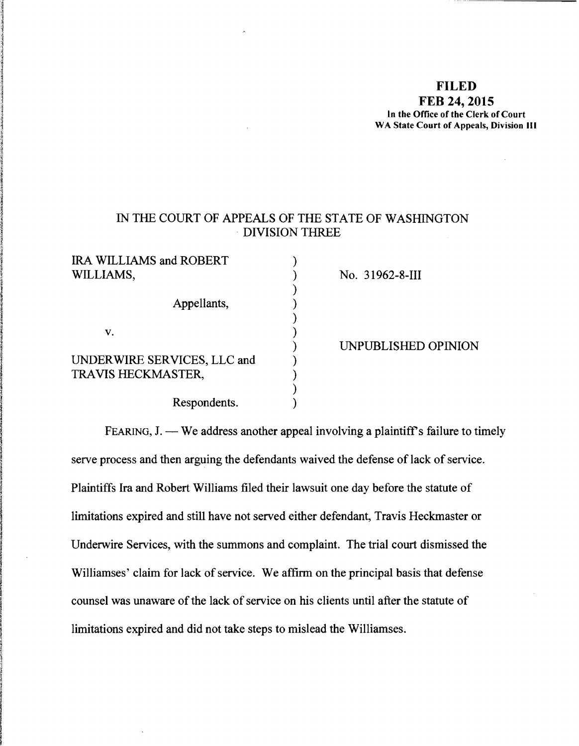# **FILED FEB 24, 2015** In the Office of the Clerk of Court WA State Court of Appeals, Division III

# IN THE COURT OF APPEALS OF THE STATE OF WASHINGTON . DIVISION THREE

| <b>IRA WILLIAMS and ROBERT</b> |  |
|--------------------------------|--|
| WILLIAMS,                      |  |
|                                |  |
| Appellants,                    |  |
|                                |  |
| V.                             |  |
|                                |  |
| UNDERWIRE SERVICES, LLC and    |  |
| TRAVIS HECKMASTER,             |  |
|                                |  |
| Respondents.                   |  |

No. 31962-8-III

) UNPUBLISHED OPINION

FEARING,  $J.$  - We address another appeal involving a plaintiff's failure to timely serve process and then arguing the defendants waived the defense of lack of service. Plaintiffs Ira and Robert Williams filed their lawsuit one day before the statute of limitations expired and still have not served either defendant, Travis Heckmaster or Underwire Services, with the summons and complaint. The trial court dismissed the Williamses' claim for lack of service. We affirm on the principal basis that defense counsel was unaware of the lack of service on his clients until after the statute of limitations expired and did not take steps to mislead the Williamses.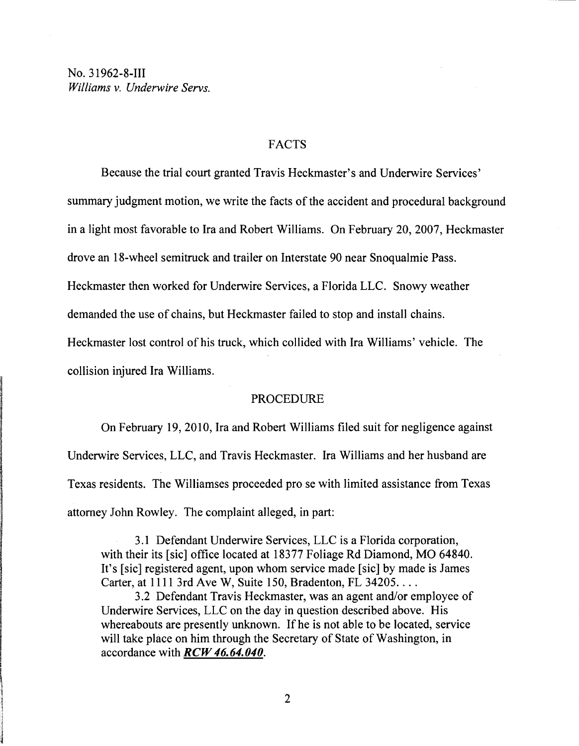# FACTS

Because the trial court granted Travis Heckmaster's and Underwire Services' summary judgment motion, we write the facts of the accident and procedural background in a light most favorable to Ira and Robert Williams. On February 20, 2007, Heckmaster drove an 18-wheel semitruck and trailer on Interstate 90 near Snoqualmie Pass. Heckmaster then worked for Underwire Services, a Florida LLC. Snowy weather

demanded the use of chains, but Heckmaster failed to stop and install chains.

Heckmaster lost control of his truck, which collided with Ira Williams' vehicle. The

collision injured Ira Williams.

#### PROCEDURE

On February 19,2010, Ira and Robert Williams filed suit for negligence against Underwire Services, LLC, and Travis Heckmaster. Ira Williams and her husband are Texas residents. The Williamses proceeded pro se with limited assistance from Texas attorney John Rowley. The complaint alleged, in part:

3.1 Defendant Underwire Services, LLC is a Florida corporation, with their its [sic] office located at 18377 Foliage Rd Diamond, MO 64840. It's [sic] registered agent, upon whom service made [sic] by made is James Carter, at 1111 3rd Ave W, Suite 150, Bradenton, FL 34205...

3.2 Defendant Travis Heckmaster, was an agent and/or employee of Underwire Services, LLC on the day in question described above. His whereabouts are presently unknown. If he is not able to be located, service will take place on him through the Secretary of State of Washington, in accordance with *RCW 46.64.040.*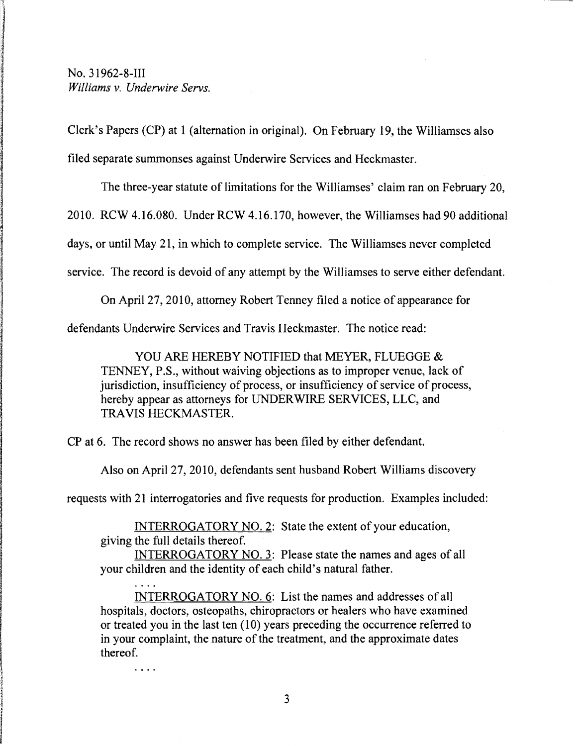$\cdots$ 

Clerk's Papers (CP) at 1 (alternation in original). On February 19, the Williamses also filed separate summonses against Underwire Services and Heckmaster.

The three-year statute of limitations for the Williamses' claim ran on February 20, 2010. RCW 4.16.080. Under RCW 4.16.170, however, the Williamses had 90 additional

days, or until May 21, in which to complete service. The Williamses never completed

service. The record is devoid of any attempt by the Williamses to serve either defendant.

On April 27, 2010, attorney Robert Tenney filed a notice of appearance for

defendants Underwire Services and Travis Heckmaster. The notice read:

YOU ARE HEREBY NOTIFIED that MEYER, FLUEGGE & TENNEY, P.S., without waiving objections as to improper venue, lack of jurisdiction, insufficiency of process, or insufficiency of service of process, hereby appear as attorneys for UNDERWIRE SERVICES, LLC, and TRAVIS HECKMASTER.

CP at 6. The record shows no answer has been filed by either defendant.

Also on April 27, 2010, defendants sent husband Robert Williams discovery

requests with 21 interrogatories and five requests for production. Examples included:

INTERROGATORY NO.2: State the extent of your education, giving the full details thereof.

INTERROGATORY NO.3: Please state the names and ages of all your children and the identity of each child's natural father.

INTERROGATORY NO.6: List the names and addresses of all hospitals, doctors, osteopaths, chiropractors or healers who have examined or treated you in the last ten (10) years preceding the occurrence referred to in your complaint, the nature of the treatment, and the approximate dates thereof.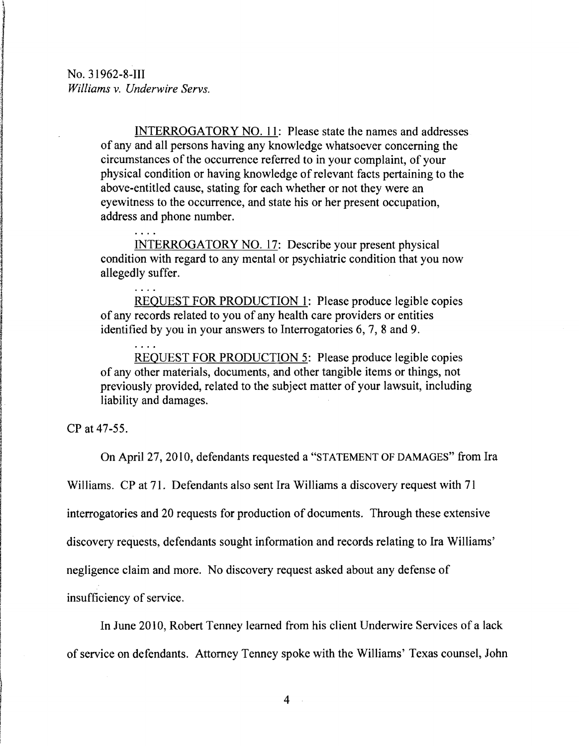$\ldots$  .

1 Info@educations<br>Info@educations<br>Info@educations

**解析的 医心包膜炎 医心包膜炎 医心包膜炎 医心包膜炎 医心包膜炎 医心包膜炎 医心包膜炎 医心包膜炎 医心包膜炎 医心包膜炎 医心包膜炎 医心包膜炎 医心包膜炎 医心包膜炎 医心包膜炎** 

I

**International Property Property Property Property Property Property Property Property Property Property Proper**<br>2012年1月20日<br>2012年1月20日

~ I I

I !

I i<br>I

I

**International Community**<br>International Community<br>International Community<br>International Community ! i<br>international<br>international i<br>Indonésia<br>Indonésia !<br>!<br>! I<br>I I  $\label{eq:2.1} \frac{\partial^2}{\partial x^2}=\frac{\partial^2}{\partial x^2}+\frac{\partial^2}{\partial x^2}+\frac{\partial^2}{\partial x^2}+\frac{\partial^2}{\partial x^2}+\frac{\partial^2}{\partial x^2}+\frac{\partial^2}{\partial x^2}+\frac{\partial^2}{\partial x^2}+\frac{\partial^2}{\partial x^2}+\frac{\partial^2}{\partial x^2}+\frac{\partial^2}{\partial x^2}+\frac{\partial^2}{\partial x^2}+\frac{\partial^2}{\partial x^2}+\frac{\partial^2}{\partial x^2}+\frac{\partial^2}{\partial x^2}+\frac{\partial^2}{\partial x^2}+\frac{\$ I

I<br>I Charles and I Parameter and I Parameter<br>I Charles and I Parameter and I Parameter and I Parameter and I Parameter and I Parameter and I Parameter and

I

INTERROGATORY NO. II: Please state the names and addresses of any and all persons having any knowledge whatsoever concerning the circumstances of the occurrence referred to in your complaint, of your physical condition or having knowledge of relevant facts pertaining to the above-entitled cause, stating for each whether or not they were an eyewitness to the occurrence, and state his or her present occupation, address and phone number.

INTERROGATORY NO. 17: Describe your present physical condition with regard to any mental or psychiatric condition that you now allegedly suffer.

REOUEST FOR PRODUCTION I: Please produce legible copies of any records related to you of any health care providers or entities identified by you in your answers to Interrogatories 6, 7, 8 and 9.

REQUEST FOR PRODUCTION 5: Please produce legible copies of any other materials, documents, and other tangible items or things, not previously provided, related to the subject matter of your lawsuit, including liability and damages.

CP at 47-55.

On April 27, 2010, defendants requested a "STATEMENT OF DAMAGES" from Ira

Williams. CP at 71. Defendants also sent Ira Williams a discovery request with 71

interrogatories and 20 requests for production of documents. Through these extensive

discovery requests, defendants sought information and records relating to Ira Williams'

negligence claim and more. No discovery request asked about any defense of

insufficiency of service.

In June 2010, Robert Tenney learned from his client Underwire Services ofa lack of service on defendants. Attorney Tenney spoke with the Williams' Texas counsel, John

 $\mathcal{L}_{\mathcal{A}}$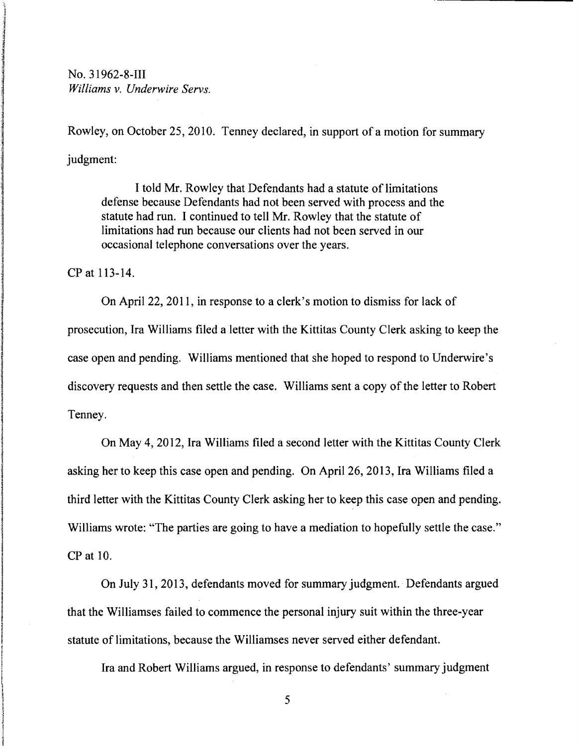**No. 31962-8-III**<br>*Williams v. Unde Williams* v. *Underwire Servs.* 

> Rowley, on October 25, 2010. Tenney declared, in support of a motion for summary judgment:

I told Mr. Rowley that Defendants had a statute of limitations defense because Defendants had not been served with process and the statute had run. I continued to tell Mr. Rowley that the statute of limitations had run because our clients had not been served in our occasional telephone conversations over the years. i

CP at 113-14.

tien in de staat van de gewone van de gewone van de gewone van de gewone van de gewone van de gewone van de ge<br>Gewone

n langang menggunakan pada tahun 1983.<br>Pada tahun 1983<br>Pada tahun 1983, Pada tahun 1983, Pada tahun 1983, Pada tahun 1983, Pada tahun 1983, Pada tahun 1983, Pada ta

On April 22, 2011, in response to a clerk's motion to dismiss for lack of prosecution, Ira Williams filed a letter with the Kittitas County Clerk asking to keep the case open and pending. Williams mentioned that she hoped to respond to Underwire's discovery requests and then settle the case. Williams sent a copy of the letter to Robert Tenney.

I On May 4,2012, Ira Williams filed a second letter with the Kittitas County Clerk asking her to keep this case open and pending. On April 26, 2013, Ira Williams filed a third letter with the Kittitas County Clerk asking her to keep this case open and pending. Williams wrote: "The parties are going to have a mediation to hopefully settle the case." CP at 10.

On July 31, 2013, defendants moved for summary judgment.· Defendants argued that the Williamses failed to commence the personal injury suit within the three-year statute of limitations, because the Williamses never served either defendant.

Ira and Robert Williams argued, in response to defendants' summary judgment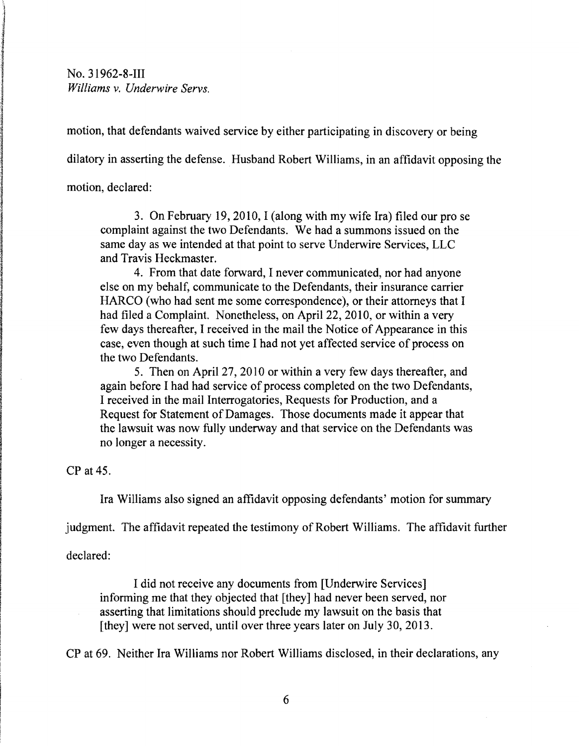motion, that defendants waived service by either participating in discovery or being

dilatory in asserting the defense. Husband Robert Williams, in an affidavit opposing the

motion, declared:

n i forte

l 1 erango dengan

> 3. On February 19,2010, I (along with my wife Ira) filed our pro se complaint against the two Defendants. We had a summons issued on the same day as we intended at that point to serve Underwire Services, LLC and Travis Heckmaster.

> 4. From that date forward, I never communicated, nor had anyone else on my behalf, communicate to the Defendants, their insurance carrier HARCO (who had sent me some correspondence), or their attorneys that I had filed a Complaint. Nonetheless, on April 22, 2010, or within a very few days thereafter, I received in the mail the Notice of Appearance in this case, even though at such time I had not yet affected service of process on the two Defendants.

5. Then on April 27, 20 I0 or within a very few days thereafter, and again before I had had service of process completed on the two Defendants, I received in the mail Interrogatories, Requests for Production, and a Request for Statement of Damages. Those documents made it appear that the lawsuit was now fully underway and that service on the Defendants was no longer a necessity.

 $CP$  at 45.

Ira Williams also signed an affidavit opposing defendants' motion for summary

judgment. The affidavit repeated the testimony of Robert Williams. The affidavit further

declared:

I did not receive any documents from [Underwire Services] informing me that they objected that [they] had never been served, nor asserting that limitations should preclude my lawsuit on the basis that [they] were not served, until over three years later on July 30, 2013.

CP at 69. Neither Ira Williams nor Robert Williams disclosed, in their declarations, any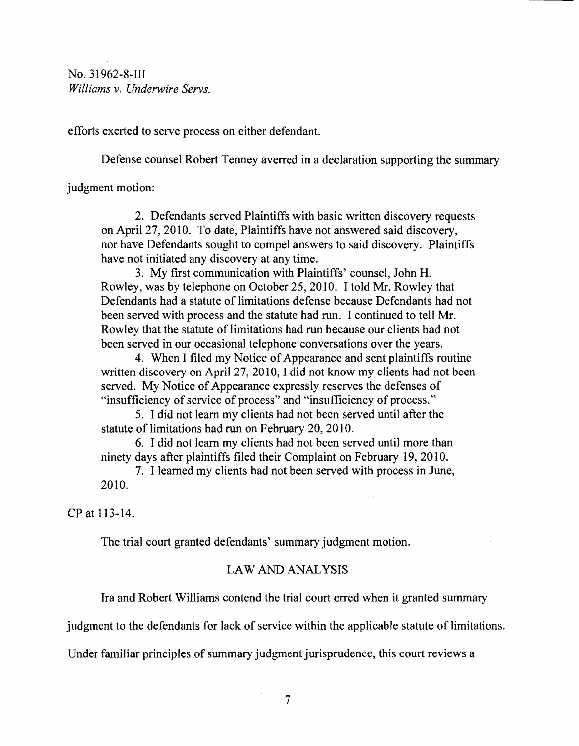efforts exerted to serve process on either defendant.

Defense counsel Robert Tenney averred in a declaration supporting the summary

judgment motion:

2. Defendants served Plaintiffs with basic written discovery requests on April 27, 2010. To date, Plaintiffs have not answered said discovery, nor have Defendants sought to compel answers to said discovery. Plaintiffs have not initiated any discovery at any time.

3. My first communication with Plaintiffs' counsel, John H. Rowley, was by telephone on October 25,2010. I told Mr. Rowley that Defendants had a statute of limitations defense because Defendants had not been served with process and the statute had run. I continued to tell Mr. Rowley that the statute of limitations had run because our clients had not been served in our occasional telephone conversations over the years.

4. When I filed my Notice of Appearance and sent plaintiffs routine written discovery on April 27, 2010, I did not know my clients had not been served. My Notice of Appearance expressly reserves the defenses of "insufficiency of service of process" and "insufficiency of process."

5. I did not learn my clients had not been served until after the statute of limitations had run on February 20, 2010.

6. I did not learn my clients had not been served until more than ninety days after plaintiffs filed their Complaint on February 19, 2010.

7. I learned my clients had not been served with process in June, 2010.

CP at 113-14.

The trial court granted defendants' summary judgment motion.

# LAW AND ANALYSIS

Ira and Robert Williams contend the trial court erred when it granted summary

judgment to the defendants for lack of service within the applicable statute of limitations.

Under familiar principles of summary judgment jurisprudence, this court reviews a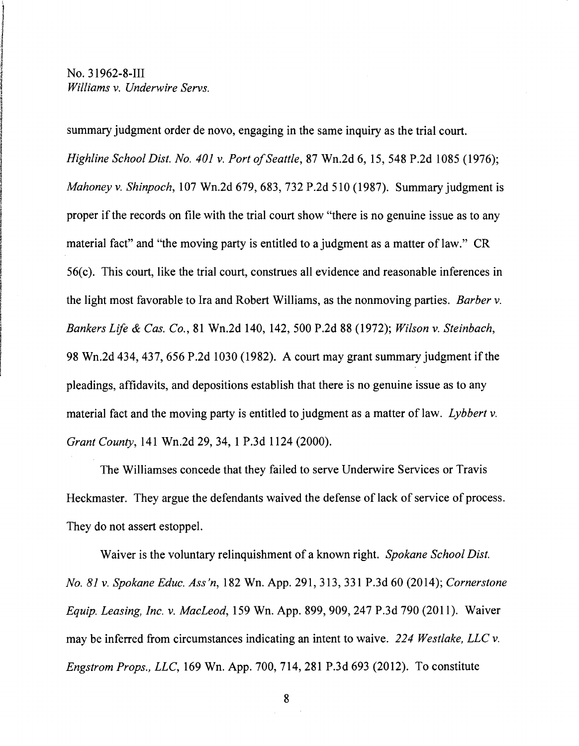Westmane<br>I

dan kalendar.<br>J 1.<br>1930 - المستخدمة<br>1940 - المستخدمة

J

~ in Caragoan.<br>I ~

I

I

! a<br>Internet

i<br>international<br>international

r

i I

 $\mu$  - Construction and the construction of  $\mu$  -  $\mu$  and  $\mu$ 

 summary judgment order de novo, engaging in the same inquiry as the trial court. *Highline School Dist. No. 401 v. Port of Seattle, 87 Wn.2d 6, 15, 548 P.2d 1085 (1976); Mahoney v. Shinpoch*, 107 Wn.2d 679, 683, 732 P.2d 510 (1987). Summary judgment is proper if the records on file with the trial court show "there is no genuine issue as to any material fact" and "the moving party is entitled to a judgment as a matter of law." CR  $56(c)$ . This court, like the trial court, construes all evidence and reasonable inferences in the light most favorable to Ira and Robert Williams, as the nonmoving parties. *Barber v. Bankers Life* & *Cas. Co.,* 81 Wn.2d 140, 142,500 P.2d 88 (1972); *Wilson* v. *Steinbach,* 98 Wn.2d 434,437,656 P.2d 1030 (1982). A court may grant summary judgment if the ! pleadings, affidavits, and depositions establish that there is no genuine issue as to any material fact and the moving party is entitled to judgment as a matter of law. *Lybbert* v. *Grant County,* 141 Wn.2d 29,34, 1 P.3d 1124 (2000).

> The Williamses concede that they failed to serve Underwire Services or Travis Heckmaster. They argue the defendants waived the defense of lack of service of process. They do not assert estoppel.

> Waiver is the voluntary relinquishment of a known right. *Spokane School Dist. No.* 81 v. *Spokane Educ. Ass 'n,* 182 Wn. App. 291, 313, 331 P.3d 60 (2014); *Cornerstone Equip. Leasing, Inc.* v. *MacLeod,* 159 Wn. App. 899,909,247 P.3d 790 (2011). Waiver may be inferred from circumstances indicating an intent to waive. 224 *Westlake, LLC* v. *Engstrom Props., LLC,* 169 Wn. App. 700, 714, 281 P.3d 693 (2012). To constitute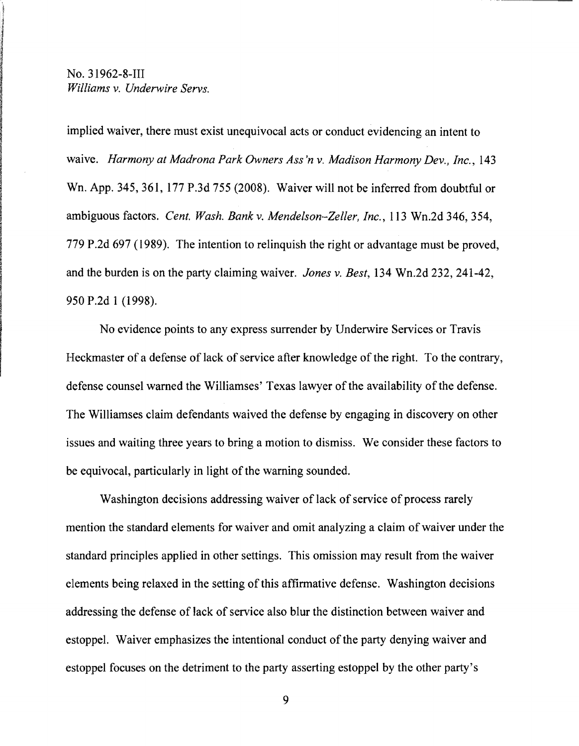implied waiver, there must exist unequivocal acts or conduct evidencing an intent to waive. *Harmony at Madrona Park Owners Ass 'n* v. *Madison Harmony Dev., Inc., 143*  Wn. App. 345, 361, 177 P.3d 755 (2008). Waiver will not be inferred from doubtful or ambiguous factors. *Cent. Wash. Bankv. Mendelson-Zeller, Inc.,* 113 Wn.2d 346,354, 779 P.2d 697 (1989). The intention to relinquish the right or advantage must be proved, and the burden is on the party claiming waiver. *Jones* v. *Best,* 134 Wn.2d 232,241-42, 950 P.2d 1 (1998).

No evidence points to any express surrender by Underwire Services or Travis Heckmaster of a defense of lack of service after knowledge of the right. To the contrary, defense counsel warned the Williamses' Texas lawyer of the availability of the defense. The Williamses claim defendants waived the defense by engaging in discovery on other issues and waiting three years to bring a motion to dismiss. We consider these factors to be equivocal, particularly in light of the warning sounded.

Washington decisions addressing waiver of lack of service of process rarely mention the standard elements for waiver and omit analyzing a claim of waiver under the standard principles applied in other settings. This omission may result from the waiver elements being relaxed in the setting of this affirmative defense. Washington decisions addressing the defense of lack of service also blur the distinction between waiver and estoppel. Waiver emphasizes the intentional conduct of the party denying waiver and estoppel focuses on the detriment to the party asserting estoppel by the other party's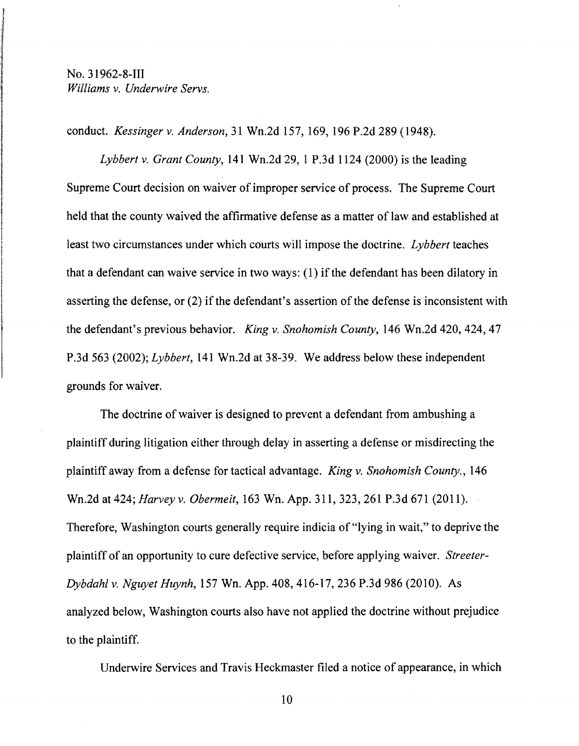No. 31962-8-III<br>*Williams v. Und Williams* v. *Underwire Servs.* 

i

Armadowrea<br>I

 $\mathcal{D}(\mathcal{B})=\mathcal{D}(\mathcal{B})$  and the contract substitution of the latter than  $\mathcal{B}(\mathcal{B})$  . Then, we can control the contract substitution of the contract substitution of the contract substitution of the contract substit

I conduct. *Kessinger* v. *Anderson,* 31 Wn.2d 157,169, 196 P.2d 289 (1948). ,

*Lybbert v. Grant County,* 141 Wn.2d 29, 1 P.3d 1124 (2000) is the leading Supreme Court decision on waiver of improper service of process. The Supreme Court held that the county waived the affirmative defense as a matter of law and established at least two circumstances under which courts will impose the doctrine. *Lybbert* teaches that a defendant can waive service in two ways: (1) if the defendant has been dilatory in asserting the defense, or (2) if the defendant's assertion of the defense is inconsistent with the defendant's previous behavior. *King v. Snohomish County*, 146 Wn.2d 420, 424, 47 P.3d 563 (2002); *Lybbert,* 141 Wn.2d at 38-39. We address below these independent grounds for waiver.

The doctrine of waiver is designed to prevent a defendant from ambushing a plaintiff during litigation either through delay in asserting a defense or misdirecting the plaintiff away from a defense for tactical advantage. *King* v. *Snohomish County., 146*  Wn.2d at 424; *Harvey* v. *Obermeit,* 163 Wn. App. 311, 323,261 P.3d 671 (2011). Therefore, Washington courts generally require indicia of "lying in wait," to deprive the plaintiff of an opportunity to cure defective service, before applying waiver. *Streeter-Dybdahl* v. *Nguyet Huynh,* 157 Wn. App. 408, 416-17, 236 P.3d 986 (2010). As analyzed below, Washington courts also have not applied the doctrine without prejudice to the plaintiff.

Underwire Services and Travis Heckmaster filed a notice of appearance, in which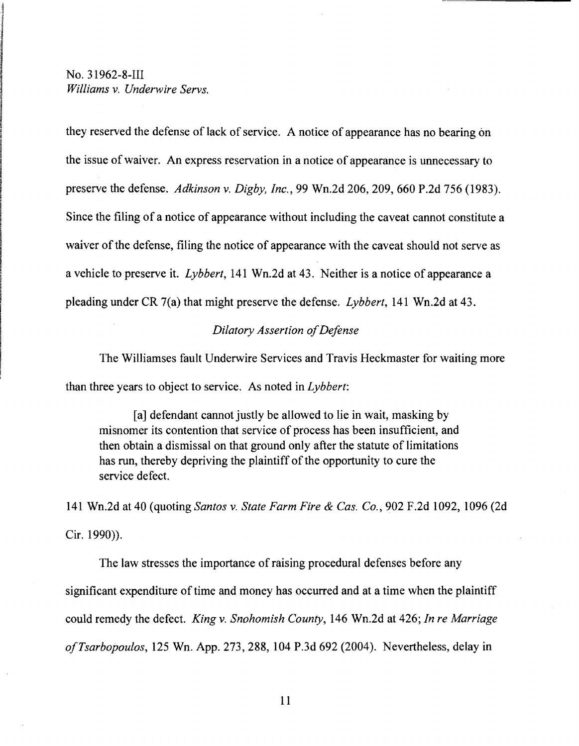they reserved the defense of lack of service. A notice of appearance has no bearing on the issue of waiver. An express reservation in a notice of appearance is unnecessary to preserve the defense. *Adkinson* v. *Digby, Inc.,* 99 Wn.2d 206,209,660 P.2d 756 (1983). Since the filing of a notice of appearance without including the caveat cannot constitute a waiver of the defense, filing the notice of appearance with the caveat should not serve as a vehicle to preserve it. *Lybbert,* 141 Wn.2d at 43. Neither is a notice of appearance a pleading under CR 7(a) that might preserve the defense. *Lybbert,* 141 Wn.2d at 43.

#### *Dilatory Assertion ofDefense*

The Williamses fault Underwire Services and Travis Heckmaster for waiting more than three years to object to service. As noted in *Lybbert:* 

[a] defendant cannot justly be allowed to lie in wait, masking by misnomer its contention that service of process has been insufficient, and then obtain a dismissal on that ground only after the statute of limitations has run, thereby depriving the plaintiff of the opportunity to cure the service defect.

141 Wn.2d at 40 (quoting *Santos* v. *State Farm Fire* & *Cas. Co.,* 902 F.2d 1092, 1096 (2d Cir. 1990)).

The law stresses the importance of raising procedural defenses before any significant expenditure of time and money has occurred and at a time when the plaintiff could remedy the defect. *King* v. *Snohomish County,* 146 Wn.2d at 426; *In re Marriage ofTsarbopoulos,* 125 Wn. App. 273, 288, 104 P.3d 692 (2004). Nevertheless, delay in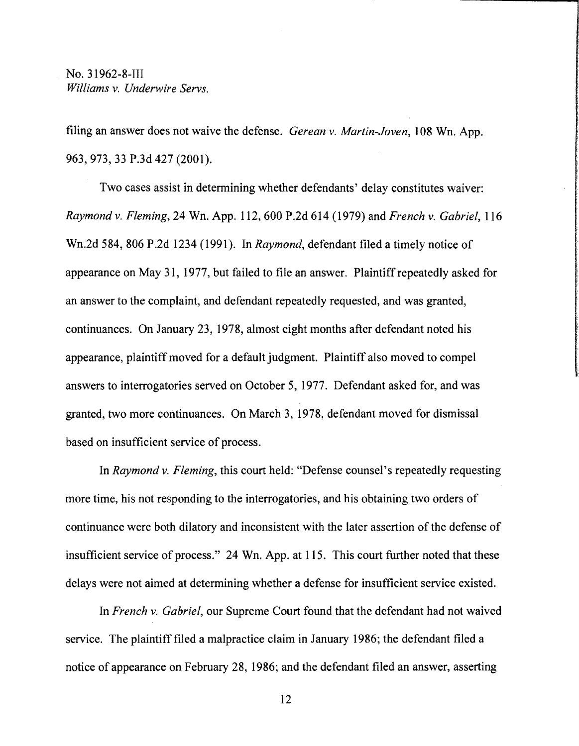filing an answer does not waive the defense. *Gerean* v. *Martin-Joven,* 108 Wn. App. 963,973,33 P.3d 427 (2001).

Two cases assist in determining whether defendants' delay constitutes waiver: *Raymond* v. *Fleming,* 24 Wn. App. 112, 600 P .2d 614 (1979) and *French* v. *Gabriel, 116*  Wn.2d 584,806 P.2d 1234 (1991). In *Raymond,* defendant filed a timely notice of appearance on May 31, 1977, but failed to file an answer. Plaintiff repeatedly asked for an answer to the complaint, and defendant repeatedly requested, and was granted, continuances. On January 23, 1978, almost eight months after defendant noted his appearance, plaintiff moved for a default judgment. Plaintiff also moved to compel answers to interrogatories served on October 5, 1977. Defendant asked for, and was granted, two more continuances. On March 3, 1978, defendant moved for dismissal based on insufficient service of process.

In *Raymond* v. *Fleming,* this court held: "Defense counsel's repeatedly requesting more time, his not responding to the interrogatories, and his obtaining two orders of continuance were both dilatory and inconsistent with the later assertion of the defense of insufficient service of process." 24 Wn. App. at 115. This court further noted that these delays were not aimed at determining whether a defense for insufficient service existed.

In *French* v. *Gabriel,* our Supreme Court found that the defendant had not waived service. The plaintiff filed a malpractice claim in January 1986; the defendant filed a notice of appearance on February 28, 1986; and the defendant filed an answer, asserting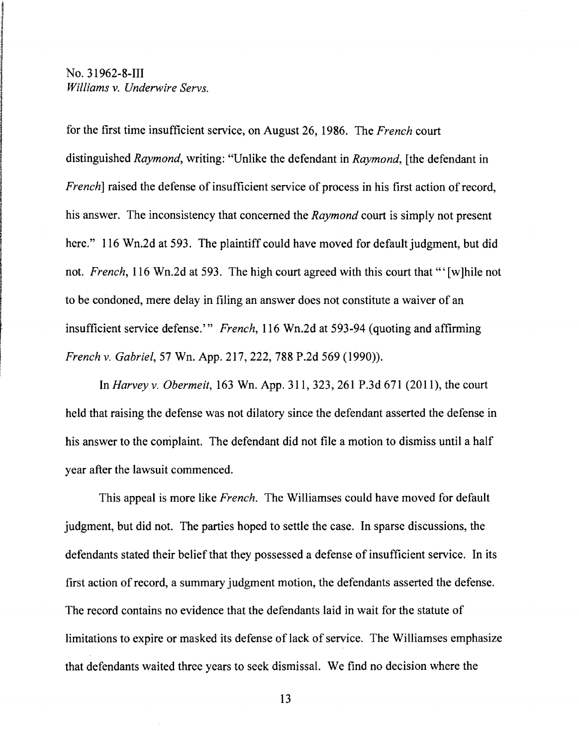ing the state of the state of the state of the state of the state of the state of the state of the state of the<br>International control to the state of the state of the state of the state of the state of the state of the sta

In chief and all the collections.<br>In the collection of the collections of the collections of the collections of the collections of the collections of the collections. In the collection of the collections of the collections

for the first time insufficient service, on August 26, 1986. The *French* court distinguished *Raymond,* writing: "Unlike the defendant in *Raymond,* [the defendant in *French*] raised the defense of insufficient service of process in his first action of record, his answer. The inconsistency that concerned the *Raymond* court is simply not present here." 116 Wn.2d at 593. The plaintiff could have moved for default judgment, but did not. *French*, 116 Wn.2d at 593. The high court agreed with this court that "'[w]hile not to be condoned, mere delay in filing an answer does not constitute a waiver of an insufficient service defense.'" *French,* 116 Wn.2d at 593-94 (quoting and affirming *French* v. *Gabriel,* 57 Wn. App. 217, 222,788 P.2d 569 (1990».

In *Harvey* v. *Obermeit,* 163 Wn. App. 311, 323,261 P.3d 671 (2011), the court held that raising the defense was not dilatory since the defendant asserted the defense in his answer to the complaint. The defendant did not file a motion to dismiss until a half year after the lawsuit commenced.

This appeal is more like *French.* The Williamses could have moved for default judgment, but did not. The parties hoped to settle the case. In sparse discussions, the defendants stated their belief that they possessed a defense of insufficient service. In its first action of record, a summary judgment motion, the defendants asserted the defense. The record contains no evidence that the defendants laid in wait for the statute of limitations to expire or masked its defense of lack of service. The Williamses emphasize that defendants waited three years to seek dismissal. We find no decision where the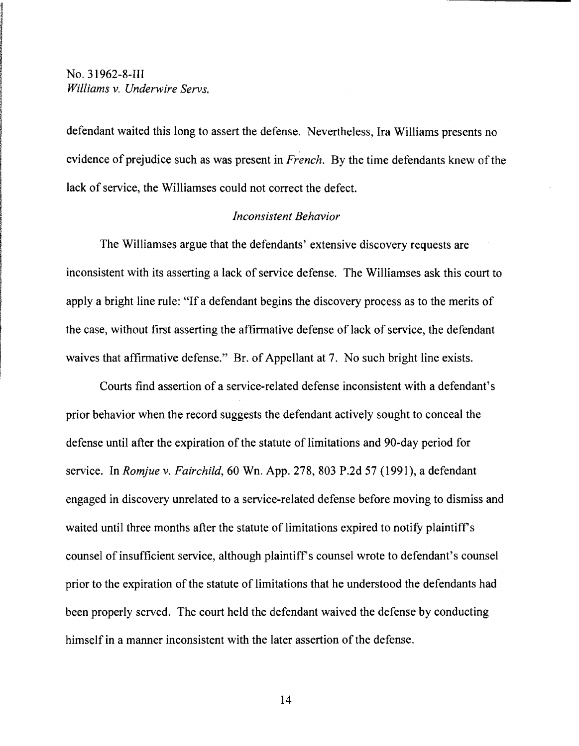defendant waited this long to assert the defense. Nevertheless, Ira Williams presents no evidence of prejudice such as was present in *French*. By the time defendants knew of the lack of service, the Williamses could not correct the defect.

#### *Inconsistent Behavior*

The Williamses argue that the defendants' extensive discovery requests are inconsistent with its asserting a lack of service defense. The Williamses ask this court to apply a bright line rule: "If a defendant begins the discovery process as to the merits of the case, without first asserting the affirmative defense of lack of service, the defendant waives that affirmative defense." Br. of Appellant at 7. No such bright line exists.

Courts find assertion of a service-related defense inconsistent with a defendant's prior behavior when the record suggests the defendant actively sought to conceal the defense until after the expiration of the statute of limitations and 90-day period for service. In *Romjue* v. *Fairchild,* 60 Wn. App. 278, 803 P.2d 57 (1991), a defendant engaged in discovery unrelated to a service-related defense before moving to dismiss and waited until three months after the statute of limitations expired to notify plaintiff's counsel of insufficient service, although plaintiff's counsel wrote to defendant's counsel prior to the expiration of the statute of limitations that he understood the defendants had been properly served. The court held the defendant waived the defense by conducting himself in a manner inconsistent with the later assertion of the defense.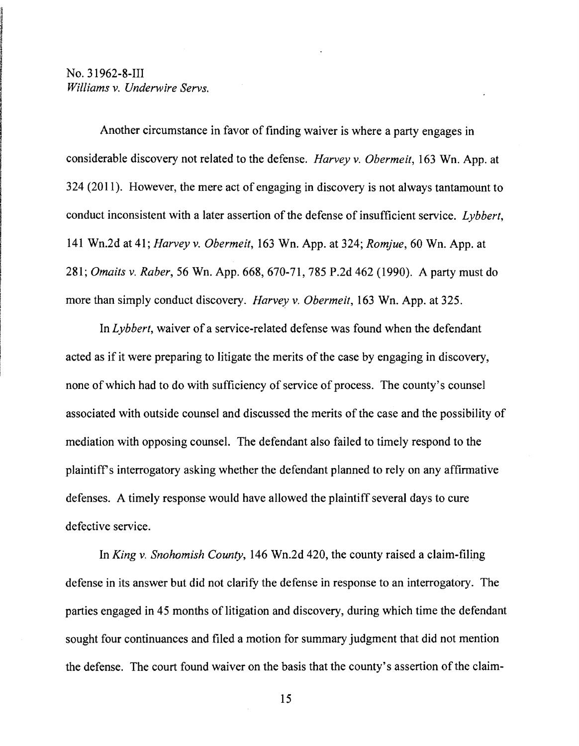Another circumstance in favor of finding waiver is where a party engages in considerable discovery not related to the defense. *Harvey* v. *Obermeit,* 163 Wn. App. at 324 (2011). However, the mere act of engaging in discovery is not always tantamount to conduct inconsistent with a later assertion of the defense of insufficient service. *Lybbert,*  141 Wn.2d at41; *Harveyv. Obermeit,* 163 Wn. App. at 324; *Romjue,* 60 Wn. App. at *281; Omaits* v. *Raber,* 56 Wn. App. 668, 670-71, 785 P.2d 462 (1990). A party must do more than simply conduct discovery. *Harvey* v. *Obermeit,* 163 Wn. App. at 325.

In *Lybbert,* waiver of a service-related defense was found when the defendant acted as if it were preparing to litigate the merits of the case by engaging in discovery, none of which had to do with sufficiency of service of process. The county's counsel associated with outside counsel and discussed the merits of the case and the possibility of mediation with opposing counsel. The defendant also failed to timely respond to the plaintiffs interrogatory asking whether the defendant planned to rely on any affinnative defenses. A timely response would have allowed the plaintiff several days to cure defective service.

In *King* v. *Snohomish County,* 146 Wn.2d 420, the county raised a claim-filing defense in its answer but did not clarify the defense in response to an interrogatory. The parties engaged in 45 months of litigation and discovery, during which time the defendant sought four continuances and filed a motion for summary judgment that did not mention the defense. The court found waiver on the basis that the county's assertion of the claim-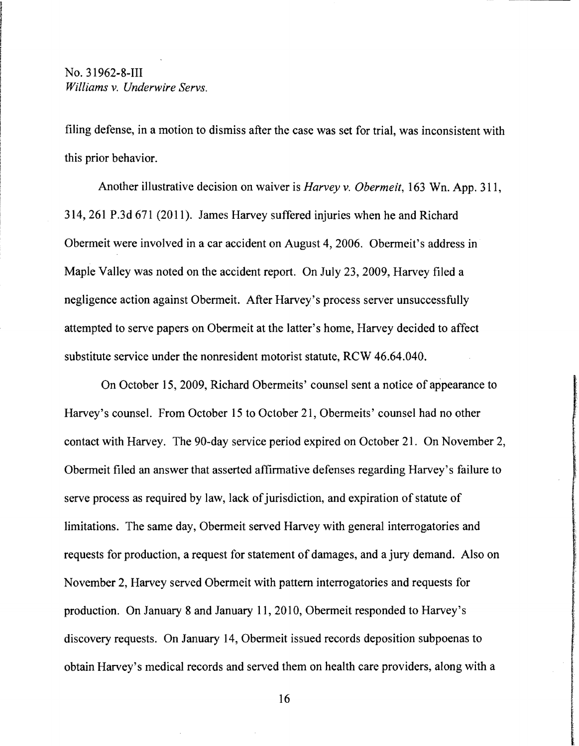filing defense, in a motion to dismiss after the case was set for trial, was inconsistent with this prior behavior.

Another illustrative decision on waiver is *Harvey* v. *Obermeit,* 163 Wn. App. 311, 314,261 P.3d 671 (2011). James Harvey suffered injuries when he and Richard Obermeit were involved in a car accident on August 4,2006. Obermeit's address in Maple Valley was noted on the accident report. On July 23, 2009, Harvey filed a negligence action against Obermeit. After Harvey's process server unsuccessfully attempted to serve papers on Obermeit at the latter's home, Harvey decided to affect substitute service under the nonresident motorist statute, RCW 46.64.040.

On October 15,2009, Richard Obermeits' counsel sent a notice of appearance to Harvey's counsel. From October 15 to October 21, Obermeits' counsel had no other contact with Harvey. The 90-day service period expired on October 21. On November 2, Obermeit filed an answer that asserted affirmative defenses regarding Harvey's failure to serve process as required by law, lack of jurisdiction, and expiration of statute of limitations. The same day, Obermeit served Harvey with general interrogatories and requests for production, a request for statement of damages, and a jury demand. Also on November 2, Harvey served Obermeit with pattern interrogatories and requests for production. On January 8 and January 11, 2010, Obermeit responded to Harvey's discovery requests. On January 14, Obermeit issued records deposition subpoenas to obtain Harvey's medical records and served them on health care providers, along with a

16

l.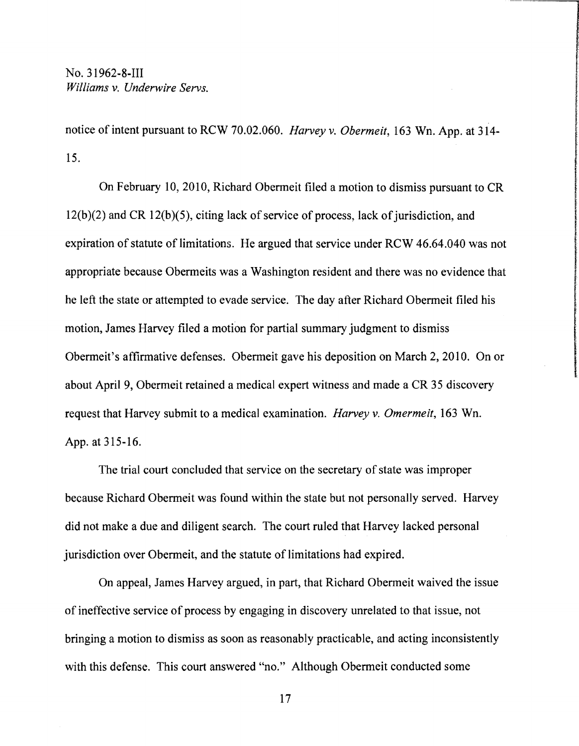notice of intent pursuant to RCW 70.02.060. *Harvey* v. *Obermeit,* 163 Wn. App.at 314 15.

On February 10,2010, Richard Obermeit filed a motion to dismiss pursuant to CR  $12(b)(2)$  and CR  $12(b)(5)$ , citing lack of service of process, lack of jurisdiction, and expiration of statute of limitations. He argued that service under RCW 46.64.040 was not appropriate because Obermeits was a Washington resident and there was no evidence that he left the state or attempted to evade service. The day after Richard Obermeit filed his motion, James Harvey filed a motion for partial summary judgment to dismiss Obermeit's affirmative defenses. Obermeit gave his deposition on March 2, 2010. On or about April 9, Obermeit retained a medical expert witness and made a CR 35 discovery request that Harvey submit to a medical examination. *Harvey* v. *Omermeit,* 163 Wn. App. at 315-16.

**International Complete International Complete** 

The trial court concluded that service on the secretary of state was improper because Richard Obermeit was found within the state but not personally served. Harvey did not make a due and diligent search. The court ruled that Harvey lacked personal jurisdiction over Obermeit, and the statute of limitations had expired.

On appeal, James Harvey argued, in part, that Richard Obermeit waived the issue of ineffective service of process by engaging in discovery unrelated to that issue, not bringing a motion to dismiss as soon as reasonably practicable, and acting inconsistently with this defense. This court answered "no." Although Obermeit conducted some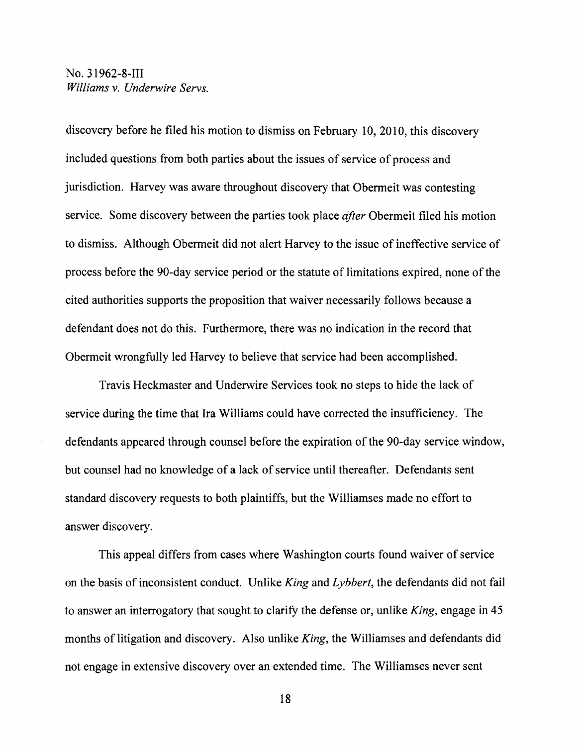discovery before he filed his motion to dismiss on February 10,2010, this discovery included questions from both parties about the issues of service of process and jurisdiction. Harvey was aware throughout discovery that Obermeit was contesting service. Some discovery between the parties took place *after* Obermeit filed his motion to dismiss. Although Obermeit did not alert Harvey to the issue of ineffective service of process before the 90-day service period or the statute of limitations expired, none of the cited authorities supports the proposition that waiver necessarily follows because a defendant does not do this. Furthermore, there was no indication in the record that Obermeit wrongfully led Harvey to believe that service had been accomplished.

Travis Heckmaster and Underwire Services took no steps to hide the lack of service during the time that Ira Williams could have corrected the insufficiency. The defendants appeared through counsel before the expiration of the 90-day service window, but counsel had no knowledge of a lack of service until thereafter. Defendants sent standard discovery requests to both plaintiffs, but the Williamses made no effort to answer discovery.

This appeal differs from cases where Washington courts found waiver of service on the basis of inconsistent conduct. Unlike *King* and *Lybbert,* the defendants did not fail to answer an interrogatory that sought to clarify the defense or, unlike *King*, engage in 45 months of litigation and discovery. Also unlike *King,* the Williamses and defendants did not engage in extensive discovery over an extended time. The Williamses never sent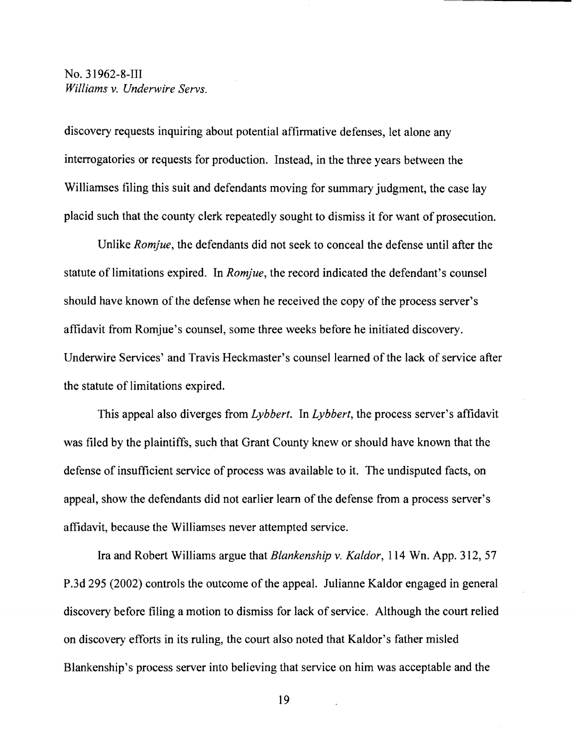discovery requests inquiring about potential affirmative defenses, let alone any interrogatories or requests for production. Instead, in the three years between the Williamses filing this suit and defendants moving for summary judgment, the case lay placid such that the county clerk repeatedly sought to dismiss it for want of prosecution.

Unlike *Romjue,* the defendants did not seek to conceal the defense until after the statute of limitations expired. In *Romjue,* the record indicated the defendant's counsel should have known of the defense when he received the copy of the process server's affidavit from Romjue's counsel, some three weeks before he initiated discovery. Underwire Services' and Travis Heckmaster's counsel learned of the lack of service after the statute of limitations expired.

This appeal also diverges from *Lybbert.* In *Lybbert,* the process server's affidavit was filed by the plaintiffs, such that Grant County knew or should have known that the defense of insufficient service of process was available to it. The undisputed facts, on appeal, show the defendants did not earlier learn of the defense from a process server's affidavit, because the Williamses never attempted service.

Ira and Robert Williams argue that *Blankenship* v. *Kaldor,* 114 Wn. App. 312, 57 P.3d 295 (2002) controls the outcome of the appeal. Julianne Kaldor engaged in general discovery before filing a motion to dismiss for lack of service. Although the court relied on discovery efforts in its ruling, the court also noted that Kaldor's father misled Blankenship's process server into believing that service on him was acceptable and the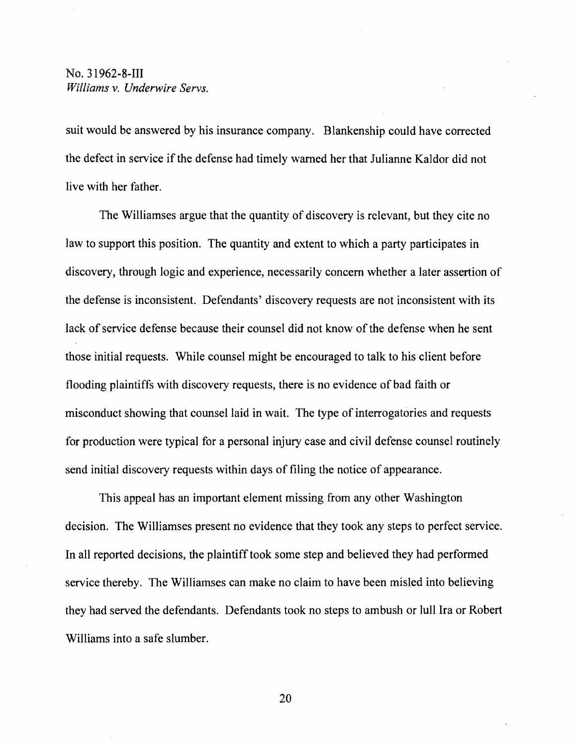suit would be answered by his insurance company. Blankenship could have corrected the defect in service if the defense had timely warned her that Julianne Kaldor did not live with her father.

The Williamses argue that the quantity of discovery is relevant, but they cite no law to support this position. The quantity and extent to which a party participates in discovery, through logic and experience, necessarily concern whether a later assertion of the defense is inconsistent. Defendants' discovery requests are not inconsistent with its lack of service defense because their counsel did not know of the defense when he sent those initial requests. While counsel might be encouraged to talk to his client before flooding plaintiffs with discovery requests, there is no evidence of bad faith or misconduct showing that counsel laid in wait. The type of interrogatories and requests for production were typical for a personal injury case and civil defense counsel routinely send initial discovery requests within days of filing the notice of appearance.

This appeal has an important element missing from any other Washington decision. The Williamses present no evidence that they took any steps to perfect service. In all reported decisions, the plaintifftook some step and believed they had performed service thereby. The Williamses can make no claim to have been misled into believing they had served the defendants. Defendants took no steps to ambush or lull Ira or Robert Williams into a safe slumber.